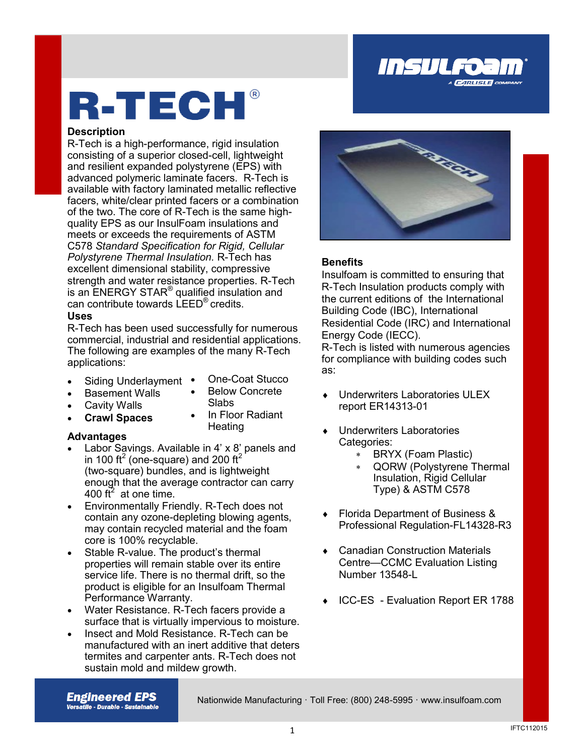

# R-TECH®

### **Description**

R-Tech is a high-performance, rigid insulation consisting of a superior closed-cell, lightweight and resilient expanded polystyrene (EPS) with advanced polymeric laminate facers. R-Tech is available with factory laminated metallic reflective facers, white/clear printed facers or a combination of the two. The core of R-Tech is the same highquality EPS as our InsulFoam insulations and meets or exceeds the requirements of ASTM C578 *Standard Specification for Rigid, Cellular Polystyrene Thermal Insulation.* R-Tech has excellent dimensional stability, compressive strength and water resistance properties. R-Tech is an ENERGY STAR<sup>®</sup> qualified insulation and can contribute towards LEED® credits.

### **Uses**

R-Tech has been used successfully for numerous commercial, industrial and residential applications. The following are examples of the many R-Tech applications:

- Siding Underlayment •
- One-Coat Stucco Below Concrete

In Floor Radiant

Slabs

**Heating** 

- Basement Walls Cavity Walls
- 
- **Crawl Spaces**

### **Advantages**

- Labor Savings. Available in 4' x 8' panels and in 100 ft<sup>2</sup> (one-square) and 200 ft<sup>2</sup> (two-square) bundles, and is lightweight enough that the average contractor can carry 400 ft<sup>2</sup> at one time.
- Environmentally Friendly. R-Tech does not contain any ozone-depleting blowing agents, may contain recycled material and the foam core is 100% recyclable.
- Stable R-value. The product's thermal properties will remain stable over its entire service life. There is no thermal drift, so the product is eligible for an Insulfoam Thermal Performance Warranty.
- Water Resistance. R-Tech facers provide a surface that is virtually impervious to moisture.
- Insect and Mold Resistance. R-Tech can be manufactured with an inert additive that deters termites and carpenter ants. R-Tech does not sustain mold and mildew growth.



### **Benefits**

Insulfoam is committed to ensuring that R-Tech Insulation products comply with the current editions of the International Building Code (IBC), International Residential Code (IRC) and International Energy Code (IECC).

R-Tech is listed with numerous agencies for compliance with building codes such as:

- Underwriters Laboratories ULEX report ER14313-01
- Underwriters Laboratories Categories:
	- BRYX (Foam Plastic)
	- QORW (Polystyrene Thermal Insulation, Rigid Cellular Type) & ASTM C578
- Florida Department of Business & Professional Regulation-FL14328-R3
- Canadian Construction Materials Centre—CCMC Evaluation Listing Number 13548-L
- ◆ ICC-ES Evaluation Report ER 1788

**Engineered EPS Versatlle - Durable - Sustalnable** 

Nationwide Manufacturing · Toll Free: (800) 248-5995 · www.insulfoam.com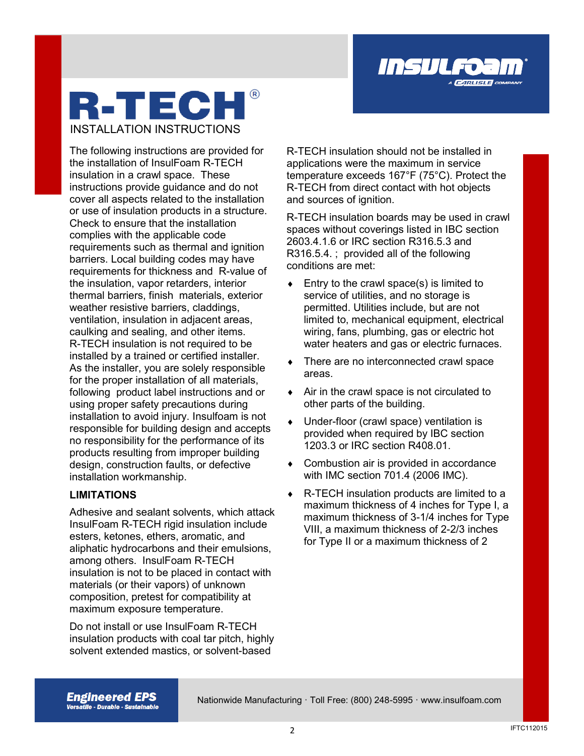

## **R-TECH** INSTALLATION INSTRUCTIONS

The following instructions are provided for the installation of InsulFoam R-TECH insulation in a crawl space. These instructions provide guidance and do not cover all aspects related to the installation or use of insulation products in a structure. Check to ensure that the installation complies with the applicable code requirements such as thermal and ignition barriers. Local building codes may have requirements for thickness and R-value of the insulation, vapor retarders, interior thermal barriers, finish materials, exterior weather resistive barriers, claddings, ventilation, insulation in adjacent areas, caulking and sealing, and other items. R-TECH insulation is not required to be installed by a trained or certified installer. As the installer, you are solely responsible for the proper installation of all materials, following product label instructions and or using proper safety precautions during installation to avoid injury. Insulfoam is not responsible for building design and accepts no responsibility for the performance of its products resulting from improper building design, construction faults, or defective installation workmanship.

### **LIMITATIONS**

Adhesive and sealant solvents, which attack InsulFoam R-TECH rigid insulation include esters, ketones, ethers, aromatic, and aliphatic hydrocarbons and their emulsions, among others. InsulFoam R-TECH insulation is not to be placed in contact with materials (or their vapors) of unknown composition, pretest for compatibility at maximum exposure temperature.

Do not install or use InsulFoam R-TECH insulation products with coal tar pitch, highly solvent extended mastics, or solvent-based

R-TECH insulation should not be installed in applications were the maximum in service temperature exceeds 167°F (75°C). Protect the R-TECH from direct contact with hot objects and sources of ignition.

R-TECH insulation boards may be used in crawl spaces without coverings listed in IBC section 2603.4.1.6 or IRC section R316.5.3 and R316.5.4. ; provided all of the following conditions are met:

- $\bullet$  Entry to the crawl space(s) is limited to service of utilities, and no storage is permitted. Utilities include, but are not limited to, mechanical equipment, electrical wiring, fans, plumbing, gas or electric hot water heaters and gas or electric furnaces.
- There are no interconnected crawl space areas.
- Air in the crawl space is not circulated to other parts of the building.
- Under-floor (crawl space) ventilation is provided when required by IBC section 1203.3 or IRC section R408.01.
- ◆ Combustion air is provided in accordance with IMC section 701.4 (2006 IMC).
- ◆ R-TECH insulation products are limited to a maximum thickness of 4 inches for Type I, a maximum thickness of 3-1/4 inches for Type VIII, a maximum thickness of 2-2/3 inches for Type II or a maximum thickness of 2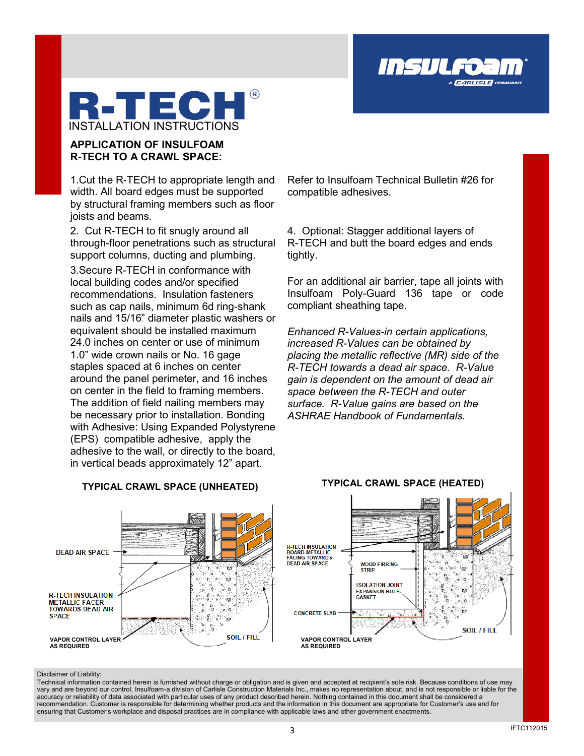

### **APPLICATION OF INSULFOAM R-TECH TO A CRAWL SPACE:**

1.Cut the R-TECH to appropriate length and width. All board edges must be supported by structural framing members such as floor joists and beams.

2. Cut R-TECH to fit snugly around all through-floor penetrations such as structural support columns, ducting and plumbing. 3.Secure R-TECH in conformance with local building codes and/or specified recommendations. Insulation fasteners such as cap nails, minimum 6d ring-shank nails and 15/16" diameter plastic washers or equivalent should be installed maximum 24.0 inches on center or use of minimum 1.0" wide crown nails or No. 16 gage staples spaced at 6 inches on center around the panel perimeter, and 16 inches on center in the field to framing members. The addition of field nailing members may be necessary prior to installation. Bonding with Adhesive: Using Expanded Polystyrene (EPS) compatible adhesive, apply the adhesive to the wall, or directly to the board, in vertical beads approximately 12" apart.

**TYPICAL CRAWL SPACE (UNHEATED) TYPICAL CRAWL SPACE (HEATED)**

Refer to Insulfoam Technical Bulletin #26 for compatible adhesives.

Insul

**CARLISLE** CO

4. Optional: Stagger additional layers of R-TECH and butt the board edges and ends tightly.

For an additional air barrier, tape all joints with Insulfoam Poly-Guard 136 tape or code compliant sheathing tape.

*Enhanced R-Values-in certain applications, increased R-Values can be obtained by placing the metallic reflective (MR) side of the R-TECH towards a dead air space. R-Value gain is dependent on the amount of dead air space between the R-TECH and outer surface. R-Value gains are based on the ASHRAE Handbook of Fundamentals.*



Disclaimer of Liability:

accuracy or reliability of data associated with particular uses of any product described herein. Nothing contained in this document shall be considered a<br>recommendation. Customer is responsible for determining whether prod Technical information contained herein is furnished without charge or obligation and is given and accepted at recipient's sole risk. Because conditions of use may vary and are beyond our control, Insulfoam-a division of Carlisle Construction Materials Inc., makes no representation about, and is not responsible or liable for the recommendation. Customer is responsible for determining whether products and the information in this document are appropriate for Customer's use and for ensuring that Customer's workplace and disposal practices are in compliance with applicable laws and other government enactments.